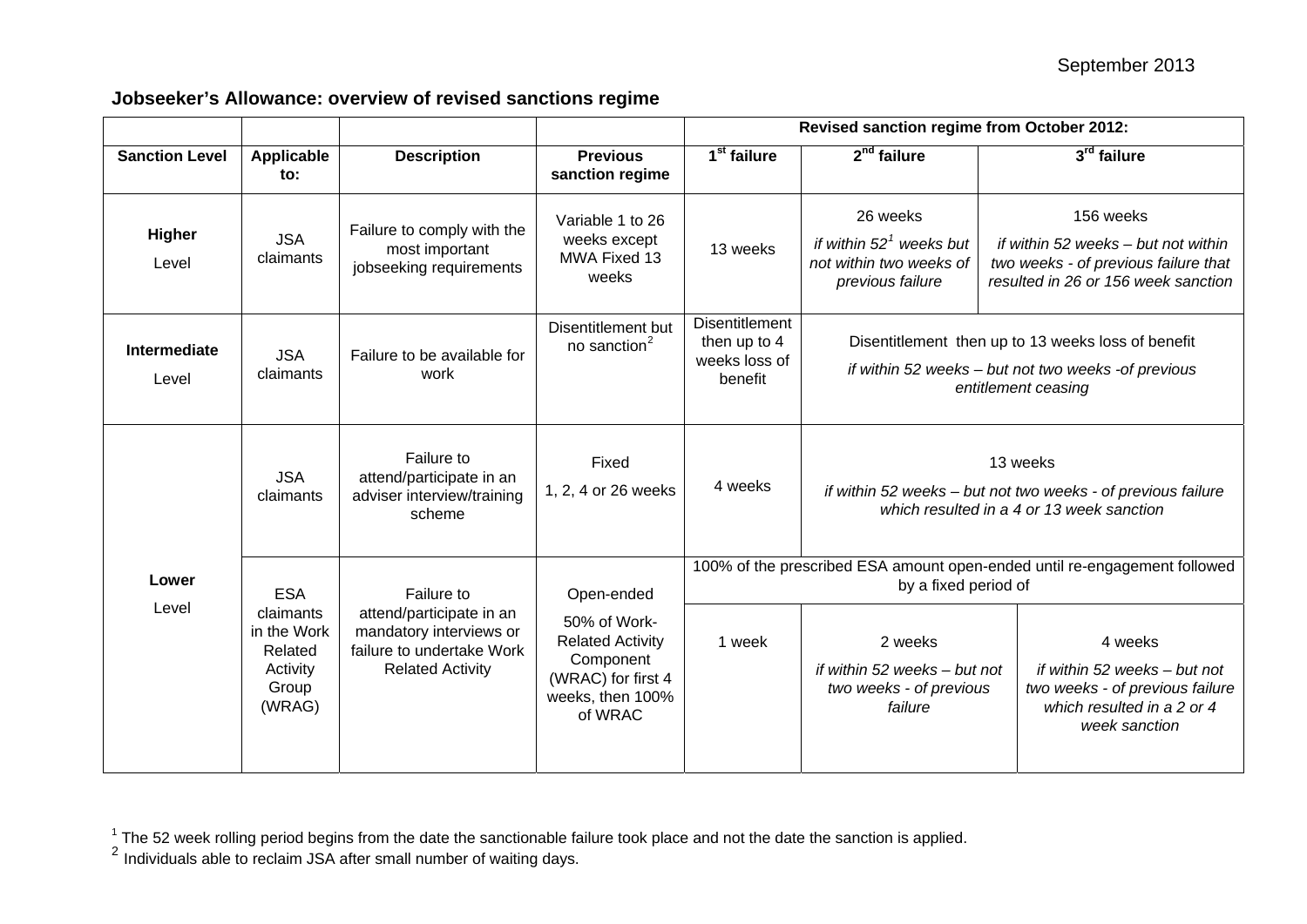## <span id="page-0-0"></span>**Jobseeker's Allowance: overview of revised sanctions regime**

|                              |                                                                                  |                                                                                                                           |                                                                                                                         | Revised sanction regime from October 2012:                                                        |                                                                                                                                  |                                                                                                                                 |
|------------------------------|----------------------------------------------------------------------------------|---------------------------------------------------------------------------------------------------------------------------|-------------------------------------------------------------------------------------------------------------------------|---------------------------------------------------------------------------------------------------|----------------------------------------------------------------------------------------------------------------------------------|---------------------------------------------------------------------------------------------------------------------------------|
| <b>Sanction Level</b>        | Applicable<br>to:                                                                | <b>Description</b>                                                                                                        | <b>Previous</b><br>sanction regime                                                                                      | 1 <sup>st</sup> failure                                                                           | $2nd$ failure                                                                                                                    | 3rd failure                                                                                                                     |
| <b>Higher</b><br>Level       | <b>JSA</b><br>claimants                                                          | Failure to comply with the<br>most important<br>jobseeking requirements                                                   | Variable 1 to 26<br>weeks except<br>MWA Fixed 13<br>weeks                                                               | 13 weeks                                                                                          | 26 weeks<br>if within $521$ weeks but<br>not within two weeks of<br>previous failure                                             | 156 weeks<br>if within 52 weeks – but not within<br>two weeks - of previous failure that<br>resulted in 26 or 156 week sanction |
| <b>Intermediate</b><br>Level | <b>JSA</b><br>claimants                                                          | Failure to be available for<br>work                                                                                       | Disentitlement but<br>no sanction <sup>2</sup>                                                                          | <b>Disentitlement</b><br>then up to 4<br>weeks loss of<br>benefit                                 | Disentitlement then up to 13 weeks loss of benefit<br>if within 52 weeks - but not two weeks -of previous<br>entitlement ceasing |                                                                                                                                 |
| Lower<br>Level               | <b>JSA</b><br>claimants                                                          | Failure to<br>attend/participate in an<br>adviser interview/training<br>scheme                                            | Fixed<br>1, 2, 4 or 26 weeks                                                                                            | 4 weeks                                                                                           | 13 weeks<br>if within 52 weeks - but not two weeks - of previous failure<br>which resulted in a 4 or 13 week sanction            |                                                                                                                                 |
|                              | <b>ESA</b><br>claimants<br>in the Work<br>Related<br>Activity<br>Group<br>(WRAG) | Failure to<br>attend/participate in an<br>mandatory interviews or<br>failure to undertake Work<br><b>Related Activity</b> | Open-ended<br>50% of Work-<br><b>Related Activity</b><br>Component<br>(WRAC) for first 4<br>weeks, then 100%<br>of WRAC | 100% of the prescribed ESA amount open-ended until re-engagement followed<br>by a fixed period of |                                                                                                                                  |                                                                                                                                 |
|                              |                                                                                  |                                                                                                                           |                                                                                                                         | 1 week                                                                                            | 2 weeks<br>if within 52 weeks - but not<br>two weeks - of previous<br>failure                                                    | 4 weeks<br>if within 52 weeks - but not<br>two weeks - of previous failure<br>which resulted in a 2 or 4<br>week sanction       |

 $^1$  The 52 week rolling period begins from the date the sanctionable failure took place and not the date the sanction is applied.<br><sup>2</sup> Individuals able to reclaim JSA after small number of waiting days.